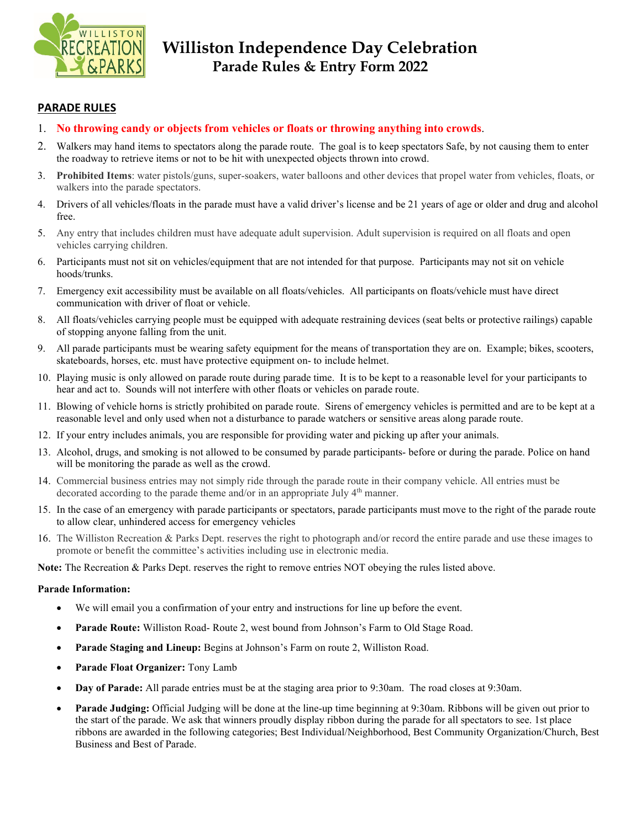

# **Williston Independence Day Celebration Parade Rules & Entry Form 2022**

### **PARADE RULES**

- 1. **No throwing candy or objects from vehicles or floats or throwing anything into crowds**.
- 2. Walkers may hand items to spectators along the parade route. The goal is to keep spectators Safe, by not causing them to enter the roadway to retrieve items or not to be hit with unexpected objects thrown into crowd.
- 3. **Prohibited Items**: water pistols/guns, super-soakers, water balloons and other devices that propel water from vehicles, floats, or walkers into the parade spectators.
- 4. Drivers of all vehicles/floats in the parade must have a valid driver's license and be 21 years of age or older and drug and alcohol free.
- 5. Any entry that includes children must have adequate adult supervision. Adult supervision is required on all floats and open vehicles carrying children.
- 6. Participants must not sit on vehicles/equipment that are not intended for that purpose. Participants may not sit on vehicle hoods/trunks.
- 7. Emergency exit accessibility must be available on all floats/vehicles. All participants on floats/vehicle must have direct communication with driver of float or vehicle.
- 8. All floats/vehicles carrying people must be equipped with adequate restraining devices (seat belts or protective railings) capable of stopping anyone falling from the unit.
- 9. All parade participants must be wearing safety equipment for the means of transportation they are on. Example; bikes, scooters, skateboards, horses, etc. must have protective equipment on- to include helmet.
- 10. Playing music is only allowed on parade route during parade time. It is to be kept to a reasonable level for your participants to hear and act to. Sounds will not interfere with other floats or vehicles on parade route.
- 11. Blowing of vehicle horns is strictly prohibited on parade route. Sirens of emergency vehicles is permitted and are to be kept at a reasonable level and only used when not a disturbance to parade watchers or sensitive areas along parade route.
- 12. If your entry includes animals, you are responsible for providing water and picking up after your animals.
- 13. Alcohol, drugs, and smoking is not allowed to be consumed by parade participants- before or during the parade. Police on hand will be monitoring the parade as well as the crowd.
- 14. Commercial business entries may not simply ride through the parade route in their company vehicle. All entries must be decorated according to the parade theme and/or in an appropriate July 4<sup>th</sup> manner.
- 15. In the case of an emergency with parade participants or spectators, parade participants must move to the right of the parade route to allow clear, unhindered access for emergency vehicles
- 16. The Williston Recreation & Parks Dept. reserves the right to photograph and/or record the entire parade and use these images to promote or benefit the committee's activities including use in electronic media.

**Note:** The Recreation & Parks Dept. reserves the right to remove entries NOT obeying the rules listed above.

#### **Parade Information:**

- We will email you a confirmation of your entry and instructions for line up before the event.
- **Parade Route:** Williston Road- Route 2, west bound from Johnson's Farm to Old Stage Road.
- **Parade Staging and Lineup:** Begins at Johnson's Farm on route 2, Williston Road.
- **Parade Float Organizer:** Tony Lamb
- **Day of Parade:** All parade entries must be at the staging area prior to 9:30am. The road closes at 9:30am.
- **Parade Judging:** Official Judging will be done at the line-up time beginning at 9:30am. Ribbons will be given out prior to the start of the parade. We ask that winners proudly display ribbon during the parade for all spectators to see. 1st place ribbons are awarded in the following categories; Best Individual/Neighborhood, Best Community Organization/Church, Best Business and Best of Parade.